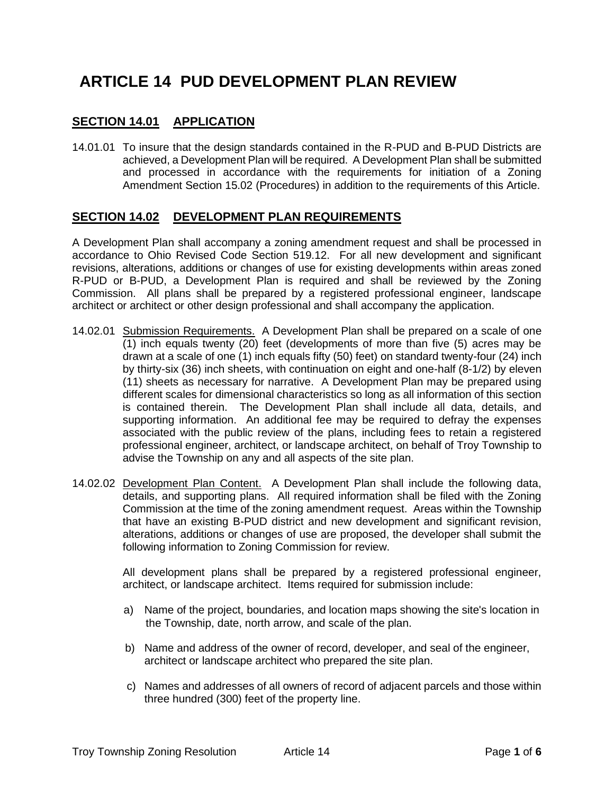# **ARTICLE 14 PUD DEVELOPMENT PLAN REVIEW**

# **SECTION 14.01 APPLICATION**

14.01.01 To insure that the design standards contained in the R-PUD and B-PUD Districts are achieved, a Development Plan will be required. A Development Plan shall be submitted and processed in accordance with the requirements for initiation of a Zoning Amendment Section 15.02 (Procedures) in addition to the requirements of this Article.

## **SECTION 14.02 DEVELOPMENT PLAN REQUIREMENTS**

A Development Plan shall accompany a zoning amendment request and shall be processed in accordance to Ohio Revised Code Section 519.12. For all new development and significant revisions, alterations, additions or changes of use for existing developments within areas zoned R-PUD or B-PUD, a Development Plan is required and shall be reviewed by the Zoning Commission. All plans shall be prepared by a registered professional engineer, landscape architect or architect or other design professional and shall accompany the application.

- 14.02.01 Submission Requirements. A Development Plan shall be prepared on a scale of one (1) inch equals twenty (20) feet (developments of more than five (5) acres may be drawn at a scale of one (1) inch equals fifty (50) feet) on standard twenty-four (24) inch by thirty-six (36) inch sheets, with continuation on eight and one-half (8-1/2) by eleven (11) sheets as necessary for narrative. A Development Plan may be prepared using different scales for dimensional characteristics so long as all information of this section is contained therein. The Development Plan shall include all data, details, and supporting information. An additional fee may be required to defray the expenses associated with the public review of the plans, including fees to retain a registered professional engineer, architect, or landscape architect, on behalf of Troy Township to advise the Township on any and all aspects of the site plan.
- 14.02.02 Development Plan Content. A Development Plan shall include the following data, details, and supporting plans. All required information shall be filed with the Zoning Commission at the time of the zoning amendment request. Areas within the Township that have an existing B-PUD district and new development and significant revision, alterations, additions or changes of use are proposed, the developer shall submit the following information to Zoning Commission for review.

All development plans shall be prepared by a registered professional engineer, architect, or landscape architect. Items required for submission include:

- a) Name of the project, boundaries, and location maps showing the site's location in the Township, date, north arrow, and scale of the plan.
- b) Name and address of the owner of record, developer, and seal of the engineer, architect or landscape architect who prepared the site plan.
- c) Names and addresses of all owners of record of adjacent parcels and those within three hundred (300) feet of the property line.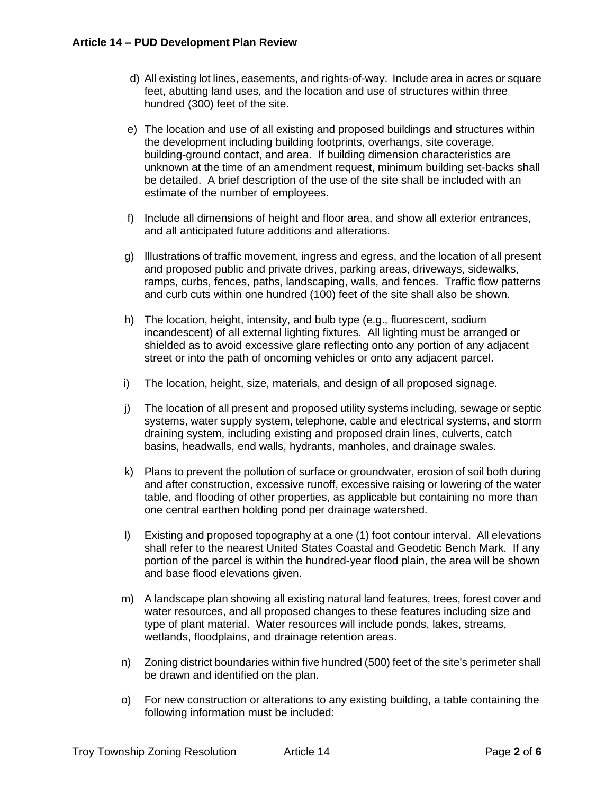- d) All existing lot lines, easements, and rights-of-way. Include area in acres or square feet, abutting land uses, and the location and use of structures within three hundred (300) feet of the site.
- e) The location and use of all existing and proposed buildings and structures within the development including building footprints, overhangs, site coverage, building-ground contact, and area. If building dimension characteristics are unknown at the time of an amendment request, minimum building set-backs shall be detailed. A brief description of the use of the site shall be included with an estimate of the number of employees.
- f) Include all dimensions of height and floor area, and show all exterior entrances, and all anticipated future additions and alterations.
- g) Illustrations of traffic movement, ingress and egress, and the location of all present and proposed public and private drives, parking areas, driveways, sidewalks, ramps, curbs, fences, paths, landscaping, walls, and fences. Traffic flow patterns and curb cuts within one hundred (100) feet of the site shall also be shown.
- h) The location, height, intensity, and bulb type (e.g., fluorescent, sodium incandescent) of all external lighting fixtures. All lighting must be arranged or shielded as to avoid excessive glare reflecting onto any portion of any adjacent street or into the path of oncoming vehicles or onto any adjacent parcel.
- i) The location, height, size, materials, and design of all proposed signage.
- j) The location of all present and proposed utility systems including, sewage or septic systems, water supply system, telephone, cable and electrical systems, and storm draining system, including existing and proposed drain lines, culverts, catch basins, headwalls, end walls, hydrants, manholes, and drainage swales.
- k) Plans to prevent the pollution of surface or groundwater, erosion of soil both during and after construction, excessive runoff, excessive raising or lowering of the water table, and flooding of other properties, as applicable but containing no more than one central earthen holding pond per drainage watershed.
- l) Existing and proposed topography at a one (1) foot contour interval. All elevations shall refer to the nearest United States Coastal and Geodetic Bench Mark. If any portion of the parcel is within the hundred-year flood plain, the area will be shown and base flood elevations given.
- m) A landscape plan showing all existing natural land features, trees, forest cover and water resources, and all proposed changes to these features including size and type of plant material. Water resources will include ponds, lakes, streams, wetlands, floodplains, and drainage retention areas.
- n) Zoning district boundaries within five hundred (500) feet of the site's perimeter shall be drawn and identified on the plan.
- o) For new construction or alterations to any existing building, a table containing the following information must be included: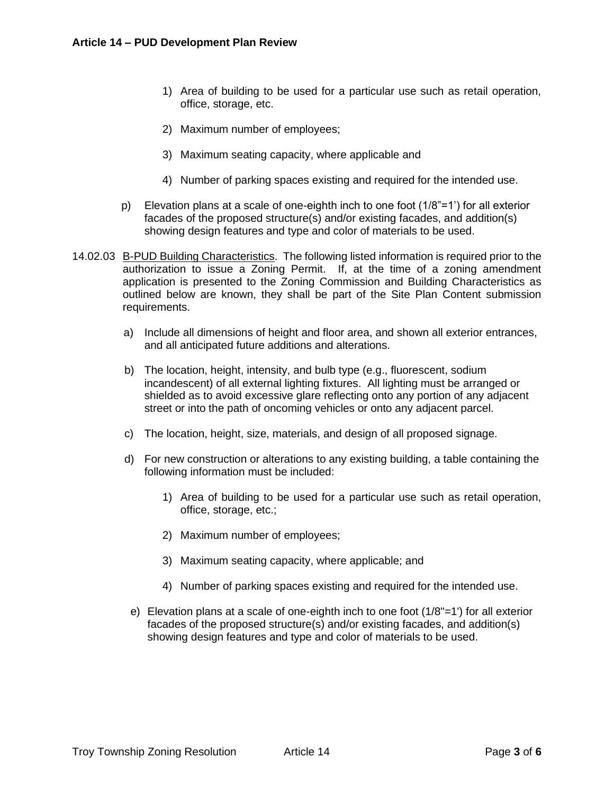- 1) Area of building to be used for a particular use such as retail operation, office, storage, etc.
- 2) Maximum number of employees;
- 3) Maximum seating capacity, where applicable and
- 4) Number of parking spaces existing and required for the intended use.
- p) Elevation plans at a scale of one-eighth inch to one foot (1/8"=1') for all exterior facades of the proposed structure(s) and/or existing facades, and addition(s) showing design features and type and color of materials to be used.
- 14.02.03 B-PUD Building Characteristics. The following listed information is required prior to the authorization to issue a Zoning Permit. If, at the time of a zoning amendment application is presented to the Zoning Commission and Building Characteristics as outlined below are known, they shall be part of the Site Plan Content submission requirements.
	- a) Include all dimensions of height and floor area, and shown all exterior entrances, and all anticipated future additions and alterations.
	- b) The location, height, intensity, and bulb type (e.g., fluorescent, sodium incandescent) of all external lighting fixtures. All lighting must be arranged or shielded as to avoid excessive glare reflecting onto any portion of any adjacent street or into the path of oncoming vehicles or onto any adjacent parcel.
	- c) The location, height, size, materials, and design of all proposed signage.
	- d) For new construction or alterations to any existing building, a table containing the following information must be included:
		- 1) Area of building to be used for a particular use such as retail operation, office, storage, etc.;
		- 2) Maximum number of employees;
		- 3) Maximum seating capacity, where applicable; and
		- 4) Number of parking spaces existing and required for the intended use.
		- e) Elevation plans at a scale of one-eighth inch to one foot (1/8"=1') for all exterior facades of the proposed structure(s) and/or existing facades, and addition(s) showing design features and type and color of materials to be used.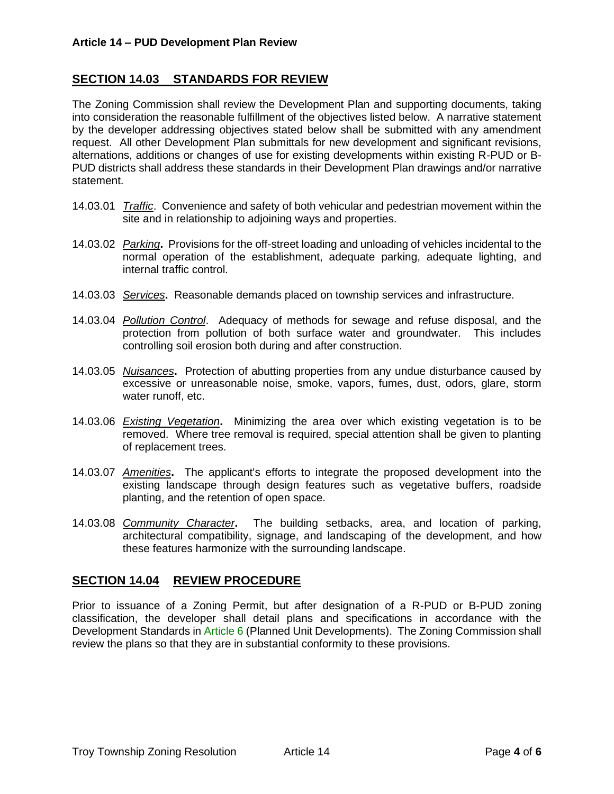### **SECTION 14.03 STANDARDS FOR REVIEW**

The Zoning Commission shall review the Development Plan and supporting documents, taking into consideration the reasonable fulfillment of the objectives listed below. A narrative statement by the developer addressing objectives stated below shall be submitted with any amendment request. All other Development Plan submittals for new development and significant revisions, alternations, additions or changes of use for existing developments within existing R-PUD or B-PUD districts shall address these standards in their Development Plan drawings and/or narrative statement.

- 14.03.01 *Traffic*. Convenience and safety of both vehicular and pedestrian movement within the site and in relationship to adjoining ways and properties.
- 14.03.02 *Parking***.** Provisions for the off-street loading and unloading of vehicles incidental to the normal operation of the establishment, adequate parking, adequate lighting, and internal traffic control.
- 14.03.03 *Services***.** Reasonable demands placed on township services and infrastructure.
- 14.03.04 *Pollution Control*. Adequacy of methods for sewage and refuse disposal, and the protection from pollution of both surface water and groundwater. This includes controlling soil erosion both during and after construction.
- 14.03.05 *Nuisances***.** Protection of abutting properties from any undue disturbance caused by excessive or unreasonable noise, smoke, vapors, fumes, dust, odors, glare, storm water runoff, etc.
- 14.03.06 *Existing Vegetation***.** Minimizing the area over which existing vegetation is to be removed. Where tree removal is required, special attention shall be given to planting of replacement trees.
- 14.03.07 *Amenities***.** The applicant's efforts to integrate the proposed development into the existing landscape through design features such as vegetative buffers, roadside planting, and the retention of open space.
- 14.03.08 *Community Character***.** The building setbacks, area, and location of parking, architectural compatibility, signage, and landscaping of the development, and how these features harmonize with the surrounding landscape.

# **SECTION 14.04 REVIEW PROCEDURE**

Prior to issuance of a Zoning Permit, but after designation of a R-PUD or B-PUD zoning classification, the developer shall detail plans and specifications in accordance with the Development Standards in Article 6 (Planned Unit Developments). The Zoning Commission shall review the plans so that they are in substantial conformity to these provisions.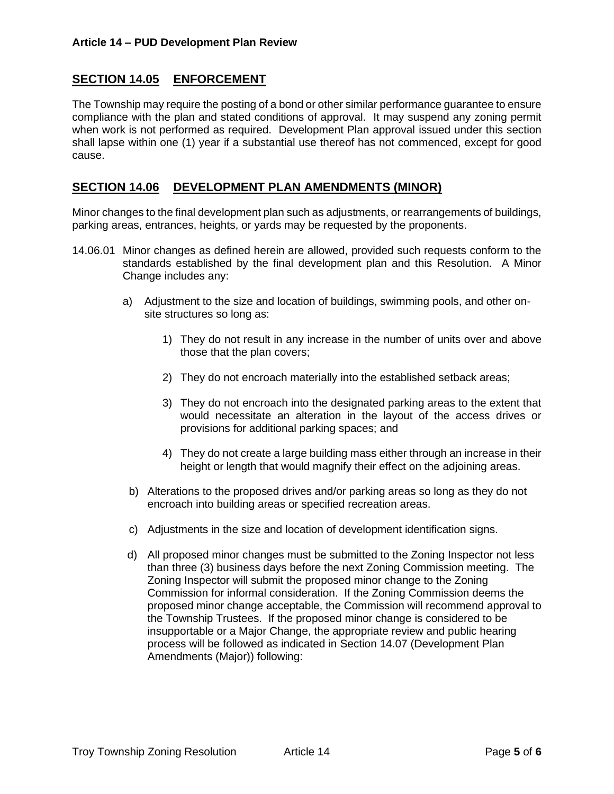# **SECTION 14.05 ENFORCEMENT**

The Township may require the posting of a bond or other similar performance guarantee to ensure compliance with the plan and stated conditions of approval. It may suspend any zoning permit when work is not performed as required. Development Plan approval issued under this section shall lapse within one (1) year if a substantial use thereof has not commenced, except for good cause.

#### <span id="page-4-0"></span>**SECTION 14.06 DEVELOPMENT PLAN AMENDMENTS (MINOR)**

Minor changes to the final development plan such as adjustments, or rearrangements of buildings, parking areas, entrances, heights, or yards may be requested by the proponents.

- 14.06.01 Minor changes as defined herein are allowed, provided such requests conform to the standards established by the final development plan and this Resolution. A Minor Change includes any:
	- a) Adjustment to the size and location of buildings, swimming pools, and other onsite structures so long as:
		- 1) They do not result in any increase in the number of units over and above those that the plan covers;
		- 2) They do not encroach materially into the established setback areas;
		- 3) They do not encroach into the designated parking areas to the extent that would necessitate an alteration in the layout of the access drives or provisions for additional parking spaces; and
		- 4) They do not create a large building mass either through an increase in their height or length that would magnify their effect on the adjoining areas.
	- b) Alterations to the proposed drives and/or parking areas so long as they do not encroach into building areas or specified recreation areas.
	- c) Adjustments in the size and location of development identification signs.
	- d) All proposed minor changes must be submitted to the Zoning Inspector not less than three (3) business days before the next Zoning Commission meeting. The Zoning Inspector will submit the proposed minor change to the Zoning Commission for informal consideration. If the Zoning Commission deems the proposed minor change acceptable, the Commission will recommend approval to the Township Trustees. If the proposed minor change is considered to be insupportable or a Major Change, the appropriate review and public hearing process will be followed as indicated in [Section 14.07](#page-5-0) (Development Plan Amendments (Major)) following: